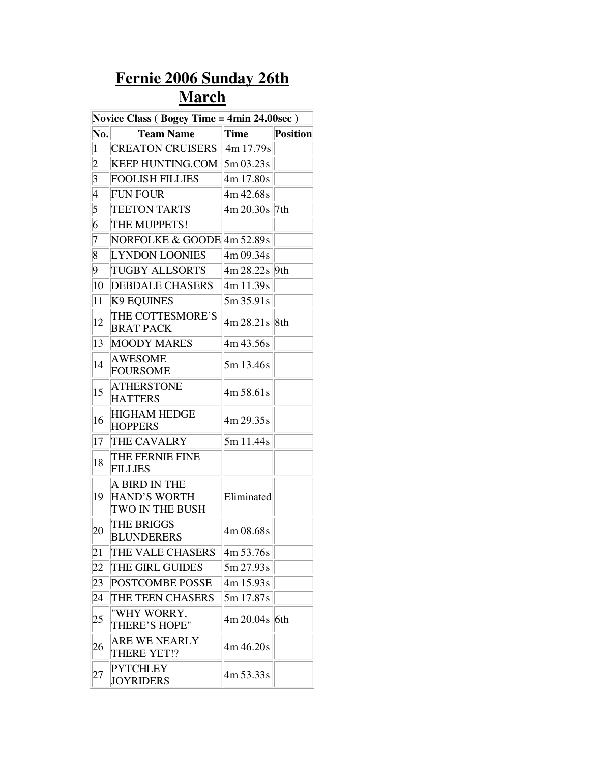## **Fernie 2006 Sunday 26th March**

| Novice Class (Bogey Time = 4min 24.00sec) |                                                         |                     |                 |
|-------------------------------------------|---------------------------------------------------------|---------------------|-----------------|
| No.                                       | <b>Team Name</b>                                        | Time                | <b>Position</b> |
| $\vert$                                   | <b>CREATON CRUISERS</b>                                 | $\frac{4m}{17.79s}$ |                 |
| $ 2\rangle$                               | KEEP HUNTING.COM $\left 5m\right.03.23s$                |                     |                 |
| $\vert 3$                                 | <b>FOOLISH FILLIES</b>                                  | 4m 17.80s           |                 |
| 4                                         | <b>FUN FOUR</b>                                         | 4m 42.68s           |                 |
| 5                                         | <b>TEETON TARTS</b>                                     | 4m 20.30s  7th      |                 |
| 6                                         | THE MUPPETS!                                            |                     |                 |
| 7                                         | NORFOLKE & GOODE 4m 52.89s                              |                     |                 |
| $\overline{8}$                            | <b>LYNDON LOONIES</b>                                   | 4m 09.34s           |                 |
| $ 9\rangle$                               | <b>TUGBY ALLSORTS</b>                                   | 4m 28.22s 9th       |                 |
| 10                                        | <b>DEBDALE CHASERS</b>                                  | 4m 11.39s           |                 |
| 11                                        | <b>K9 EQUINES</b>                                       | 5m 35.91s           |                 |
| 12                                        | THE COTTESMORE'S<br><b>BRAT PACK</b>                    | 4m 28.21s 8th       |                 |
| 13                                        | <b>MOODY MARES</b>                                      | 4m 43.56s           |                 |
| 14                                        | <b>AWESOME</b><br><b>FOURSOME</b>                       | 5m 13.46s           |                 |
| 15                                        | <b>ATHERSTONE</b><br><b>HATTERS</b>                     | 4m 58.61s           |                 |
| 16                                        | <b>HIGHAM HEDGE</b><br><b>HOPPERS</b>                   | 4m 29.35s           |                 |
| 17                                        | THE CAVALRY                                             | 5m 11.44s           |                 |
| 18                                        | THE FERNIE FINE<br><b>FILLIES</b>                       |                     |                 |
| 19                                        | A BIRD IN THE<br><b>HAND'S WORTH</b><br>TWO IN THE BUSH | Eliminated          |                 |
| 20                                        | THE BRIGGS<br><b>BLUNDERERS</b>                         | 4m 08.68s           |                 |
| 21                                        | THE VALE CHASERS                                        | 4m 53.76s           |                 |
| 22                                        | THE GIRL GUIDES                                         | 5m 27.93s           |                 |
| 23                                        | POSTCOMBE POSSE                                         | 4m 15.93s           |                 |
| 24                                        | THE TEEN CHASERS                                        | 5m 17.87s           |                 |
| 25                                        | "WHY WORRY,<br>THERE'S HOPE"                            | 4m 20.04s 6th       |                 |
| 26                                        | <b>ARE WE NEARLY</b><br>THERE YET!?                     | 4m 46.20s           |                 |
| 27                                        | <b>PYTCHLEY</b><br><b>JOYRIDERS</b>                     | 4m 53.33s           |                 |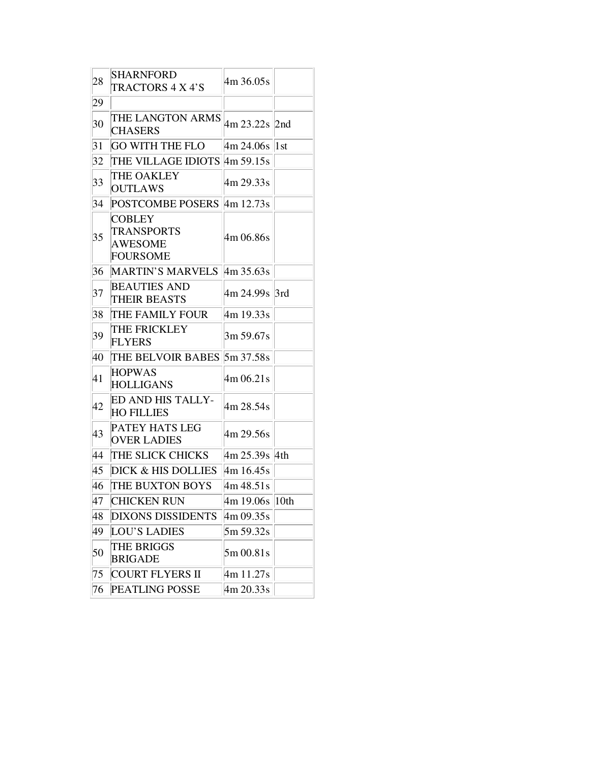| 28 | <b>SHARNFORD</b><br>TRACTORS 4 X 4'S                                    | 4m 36.05s                         |             |
|----|-------------------------------------------------------------------------|-----------------------------------|-------------|
| 29 |                                                                         |                                   |             |
| 30 | THE LANGTON ARMS<br><b>CHASERS</b>                                      | 4m 23.22s 2nd                     |             |
| 31 | <b>GO WITH THE FLO</b>                                                  | $\frac{\text{4m}}{\text{24.06s}}$ | $\vert 1st$ |
| 32 | THE VILLAGE IDIOTS 4m 59.15s                                            |                                   |             |
| 33 | THE OAKLEY<br><b>OUTLAWS</b>                                            | 4m 29.33s                         |             |
| 34 | POSTCOMBE POSERS 4m 12.73s                                              |                                   |             |
| 35 | <b>COBLEY</b><br><b>TRANSPORTS</b><br><b>AWESOME</b><br><b>FOURSOME</b> | 4m 06.86s                         |             |
| 36 | MARTIN'S MARVELS 4m 35.63s                                              |                                   |             |
| 37 | <b>BEAUTIES AND</b><br><b>THEIR BEASTS</b>                              | 4m 24.99s  3rd                    |             |
| 38 | THE FAMILY FOUR                                                         | 4m 19.33s                         |             |
| 39 | THE FRICKLEY<br><b>FLYERS</b>                                           | 3m 59.67s                         |             |
| 40 | THE BELVOIR BABES 5m 37.58s                                             |                                   |             |
| 41 | <b>HOPWAS</b><br><b>HOLLIGANS</b>                                       | 4m 06.21s                         |             |
| 42 | <b>ED AND HIS TALLY-</b><br><b>HO FILLIES</b>                           | 4m 28.54s                         |             |
| 43 | PATEY HATS LEG<br><b>OVER LADIES</b>                                    | 4m 29.56s                         |             |
| 44 | THE SLICK CHICKS                                                        | 4m 25.39s 4th                     |             |
| 45 | <b>DICK &amp; HIS DOLLIES</b>                                           | 4m 16.45s                         |             |
| 46 | THE BUXTON BOYS                                                         | 4m 48.51s                         |             |
| 47 | <b>CHICKEN RUN</b>                                                      | $\frac{4m}{19.06s}$ 10th          |             |
| 48 | <b>DIXONS DISSIDENTS</b>                                                | 4m 09.35s                         |             |
| 49 | <b>LOU'S LADIES</b>                                                     | 5m 59.32s                         |             |
| 50 | THE BRIGGS<br><b>BRIGADE</b>                                            | 5m 00.81s                         |             |
| 75 | <b>COURT FLYERS II</b>                                                  | 4m 11.27s                         |             |
| 76 | <b>PEATLING POSSE</b>                                                   | 4m 20.33s                         |             |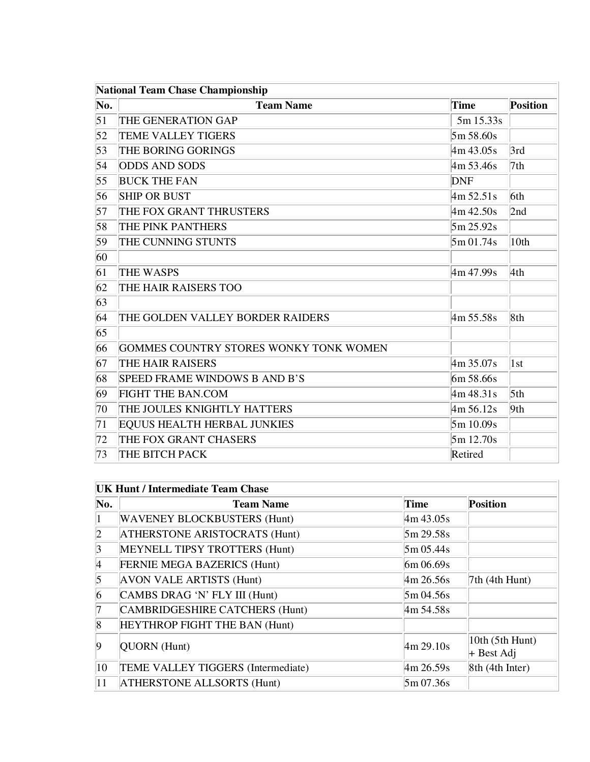| <b>National Team Chase Championship</b> |                                        |              |                   |
|-----------------------------------------|----------------------------------------|--------------|-------------------|
| No.                                     | <b>Team Name</b>                       | <b>Time</b>  | <b>Position</b>   |
| 51                                      | THE GENERATION GAP                     | 5m 15.33s    |                   |
| 52                                      | <b>TEME VALLEY TIGERS</b>              | 5m 58.60s    |                   |
| 53                                      | THE BORING GORINGS                     | 4m 43.05s    | 3rd               |
| 54                                      | <b>ODDS AND SODS</b>                   | 4m 53.46s    | 7th               |
| 55                                      | <b>BUCK THE FAN</b>                    | <b>DNF</b>   |                   |
| 56                                      | <b>SHIP OR BUST</b>                    | 4m 52.51s    | 6th               |
| 57                                      | THE FOX GRANT THRUSTERS                | 4m 42.50s    | 2nd               |
| 58                                      | THE PINK PANTHERS                      | 5m 25.92s    |                   |
| 59                                      | THE CUNNING STUNTS                     | 5m 01.74s    | 10th              |
| 60                                      |                                        |              |                   |
| 61                                      | <b>THE WASPS</b>                       | 4m 47.99s    | 4th               |
| 62                                      | THE HAIR RAISERS TOO                   |              |                   |
| 63                                      |                                        |              |                   |
| 64                                      | THE GOLDEN VALLEY BORDER RAIDERS       | 4m 55.58s    | 8th               |
| 65                                      |                                        |              |                   |
| 66                                      | GOMMES COUNTRY STORES WONKY TONK WOMEN |              |                   |
| 67                                      | THE HAIR RAISERS                       | 4m35.07s     | $\vert 1st \vert$ |
| 68                                      | SPEED FRAME WINDOWS B AND B'S          | 6m 58.66s    |                   |
| 69                                      | <b>FIGHT THE BAN.COM</b>               | 4m 48.31s    | 5th               |
| 70                                      | THE JOULES KNIGHTLY HATTERS            | $4m\,56.12s$ | 9th               |
| 71                                      | <b>EQUUS HEALTH HERBAL JUNKIES</b>     | 5m 10.09s    |                   |
| 72                                      | THE FOX GRANT CHASERS                  | 5m 12.70s    |                   |
| 73                                      | THE BITCH PACK                         | Retired      |                   |

| No.             | <b>Team Name</b>                     | <b>Time</b>                       | <b>Position</b>                 |
|-----------------|--------------------------------------|-----------------------------------|---------------------------------|
|                 | <b>WAVENEY BLOCKBUSTERS (Hunt)</b>   | 4m 43.05s                         |                                 |
| $\vert 2 \vert$ | <b>ATHERSTONE ARISTOCRATS (Hunt)</b> | 5m 29.58s                         |                                 |
| $\vert 3 \vert$ | MEYNELL TIPSY TROTTERS (Hunt)        | $5m\,05.44s$                      |                                 |
| 4               | <b>FERNIE MEGA BAZERICS (Hunt)</b>   | $6m\,06.69s$                      |                                 |
| $\vert 5 \vert$ | <b>AVON VALE ARTISTS (Hunt)</b>      | $\frac{4m}{26.56s}$               | $7th$ (4th Hunt)                |
| 6               | CAMBS DRAG 'N' FLY III (Hunt)        | 5m04.56s                          |                                 |
| 17              | CAMBRIDGESHIRE CATCHERS (Hunt)       | 4m 54.58s                         |                                 |
| 8               | HEYTHROP FIGHT THE BAN (Hunt)        |                                   |                                 |
| $\overline{9}$  | QUORN (Hunt)                         | $\frac{\text{4m}}{\text{29.10s}}$ | 10th (5th Hunt)<br>$+$ Best Adj |
| 10              | TEME VALLEY TIGGERS (Intermediate)   | $\frac{\text{4m}}{\text{26.59s}}$ | 8th (4th Inter)                 |
| 11              | <b>ATHERSTONE ALLSORTS (Hunt)</b>    | $5m\,07.36s$                      |                                 |